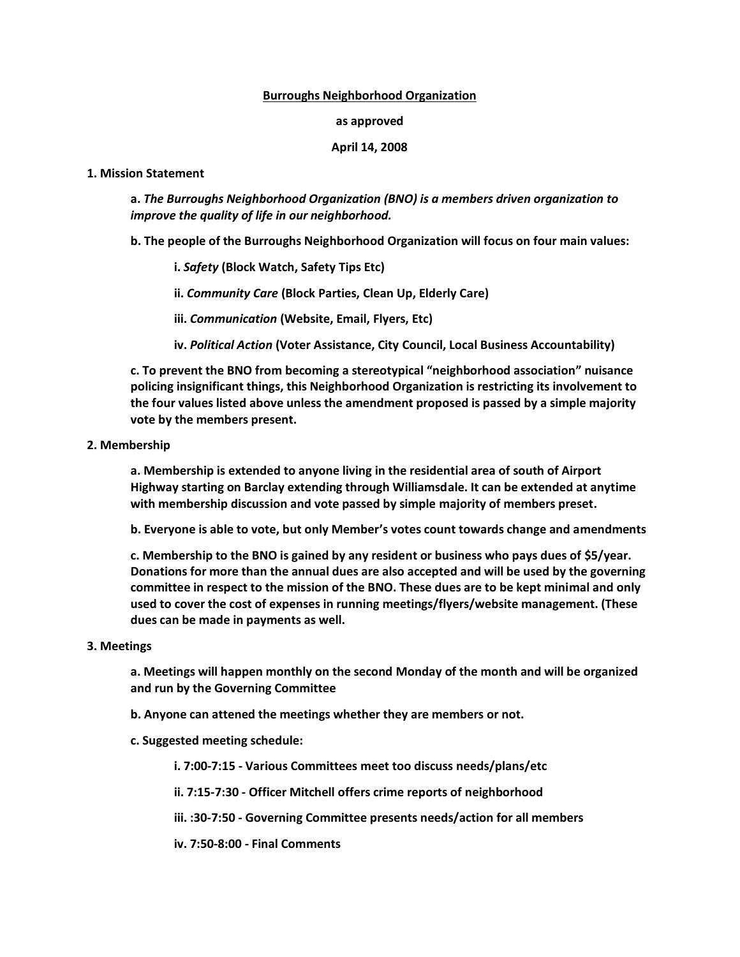## **Burroughs Neighborhood Organization**

#### **as approved**

# **April 14, 2008**

#### **1. Mission Statement**

**a.** *The Burroughs Neighborhood Organization (BNO) is a members driven organization to improve the quality of life in our neighborhood.*

**b. The people of the Burroughs Neighborhood Organization will focus on four main values:**

**i.** *Safety* **(Block Watch, Safety Tips Etc)**

**ii.** *Community Care* **(Block Parties, Clean Up, Elderly Care)**

**iii.** *Communication* **(Website, Email, Flyers, Etc)**

**iv.** *Political Action* **(Voter Assistance, City Council, Local Business Accountability)**

**c. To prevent the BNO from becoming a stereotypical "neighborhood association" nuisance policing insignificant things, this Neighborhood Organization is restricting its involvement to the four values listed above unless the amendment proposed is passed by a simple majority vote by the members present.**

# **2. Membership**

**a. Membership is extended to anyone living in the residential area of south of Airport Highway starting on Barclay extending through Williamsdale. It can be extended at anytime with membership discussion and vote passed by simple majority of members preset.**

**b. Everyone is able to vote, but only Member's votes count towards change and amendments**

**c. Membership to the BNO is gained by any resident or business who pays dues of \$5/year. Donations for more than the annual dues are also accepted and will be used by the governing committee in respect to the mission of the BNO. These dues are to be kept minimal and only used to cover the cost of expenses in running meetings/flyers/website management. (These dues can be made in payments as well.**

# **3. Meetings**

**a. Meetings will happen monthly on the second Monday of the month and will be organized and run by the Governing Committee**

**b. Anyone can attened the meetings whether they are members or not.**

# **c. Suggested meeting schedule:**

**i. 7:00-7:15 - Various Committees meet too discuss needs/plans/etc**

- **ii. 7:15-7:30 - Officer Mitchell offers crime reports of neighborhood**
- **iii. :30-7:50 - Governing Committee presents needs/action for all members**

**iv. 7:50-8:00 - Final Comments**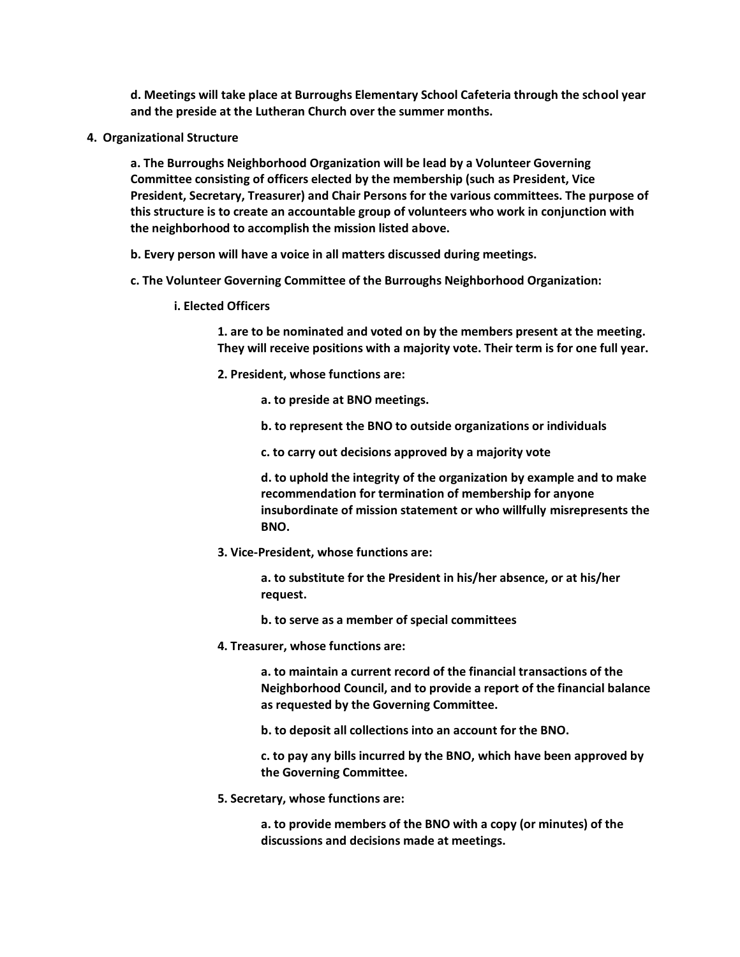**d. Meetings will take place at Burroughs Elementary School Cafeteria through the school year and the preside at the Lutheran Church over the summer months.**

**4. Organizational Structure**

**a. The Burroughs Neighborhood Organization will be lead by a Volunteer Governing Committee consisting of officers elected by the membership (such as President, Vice President, Secretary, Treasurer) and Chair Persons for the various committees. The purpose of this structure is to create an accountable group of volunteers who work in conjunction with the neighborhood to accomplish the mission listed above.**

**b. Every person will have a voice in all matters discussed during meetings.**

- **c. The Volunteer Governing Committee of the Burroughs Neighborhood Organization:**
	- **i. Elected Officers**

**1. are to be nominated and voted on by the members present at the meeting. They will receive positions with a majority vote. Their term is for one full year.**

**2. President, whose functions are:**

**a. to preside at BNO meetings.**

- **b. to represent the BNO to outside organizations or individuals**
- **c. to carry out decisions approved by a majority vote**

**d. to uphold the integrity of the organization by example and to make recommendation for termination of membership for anyone insubordinate of mission statement or who willfully misrepresents the BNO.**

**3. Vice-President, whose functions are:**

**a. to substitute for the President in his/her absence, or at his/her request.**

- **b. to serve as a member of special committees**
- **4. Treasurer, whose functions are:**

**a. to maintain a current record of the financial transactions of the Neighborhood Council, and to provide a report of the financial balance as requested by the Governing Committee.**

**b. to deposit all collections into an account for the BNO.**

**c. to pay any bills incurred by the BNO, which have been approved by the Governing Committee.**

**5. Secretary, whose functions are:**

**a. to provide members of the BNO with a copy (or minutes) of the discussions and decisions made at meetings.**